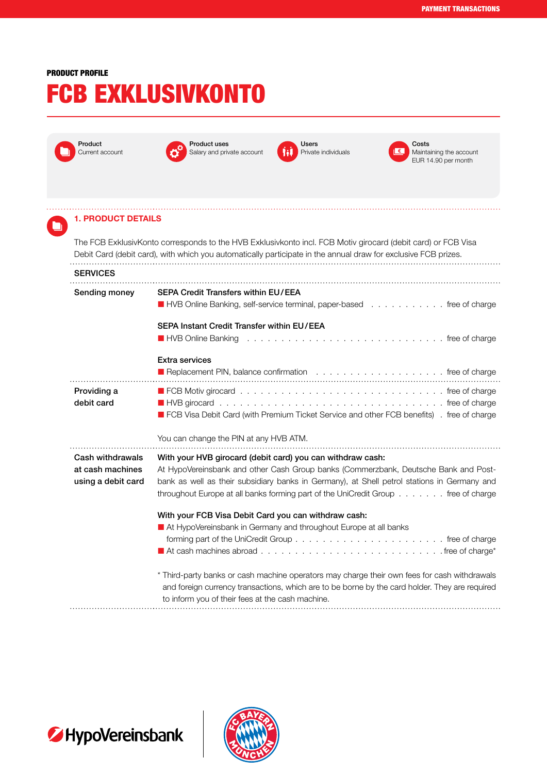## PRODUCT PROFILE

## FCB EXKLUSIVKONTO



 $\blacksquare$ 



Product uses Salary and private account



il € l

Costs Maintaining the account EUR 14.90 per month

## 1. PRODUCT DETAILS

The FCB ExklusivKonto corresponds to the HVB Exklusivkonto incl. FCB Motiv girocard (debit card) or FCB Visa Debit Card (debit card), with which you automatically participate in the annual draw for exclusive FCB prizes. **SERVICES** 

| Sending money                        | <b>SEPA Credit Transfers within EU/EEA</b><br>■ HVB Online Banking, self-service terminal, paper-based free of charge                                                                                                                            |
|--------------------------------------|--------------------------------------------------------------------------------------------------------------------------------------------------------------------------------------------------------------------------------------------------|
|                                      | SEPA Instant Credit Transfer within EU/EEA<br>■ HVB Online Banking research research research research research research research research research research                                                                                     |
|                                      | <b>Extra services</b>                                                                                                                                                                                                                            |
| Providing a<br>debit card            | FCB Visa Debit Card (with Premium Ticket Service and other FCB benefits). free of charge                                                                                                                                                         |
|                                      | You can change the PIN at any HVB ATM.                                                                                                                                                                                                           |
| Cash withdrawals<br>at cash machines | With your HVB girocard (debit card) you can withdraw cash:<br>At HypoVereinsbank and other Cash Group banks (Commerzbank, Deutsche Bank and Post-<br>bank as well as their subsidiary banks in Germany), at Shell petrol stations in Germany and |
| using a debit card                   | throughout Europe at all banks forming part of the UniCredit Group free of charge                                                                                                                                                                |
|                                      | With your FCB Visa Debit Card you can withdraw cash:                                                                                                                                                                                             |
|                                      | At HypoVereinsbank in Germany and throughout Europe at all banks                                                                                                                                                                                 |
|                                      |                                                                                                                                                                                                                                                  |



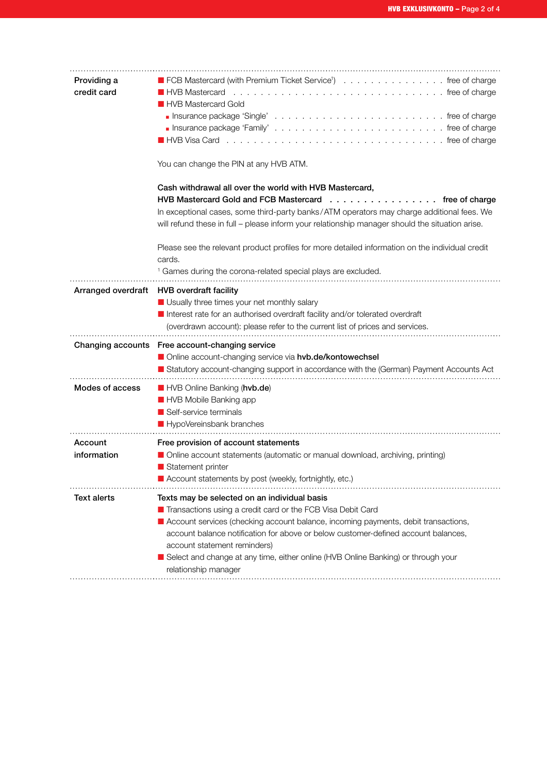| Providing a<br>credit card | ■ FCB Mastercard (with Premium Ticket Service <sup>1</sup> ) free of charge<br><b>HVB</b> Mastercard<br><b>HVB Mastercard Gold</b><br>You can change the PIN at any HVB ATM.                                                                                                                                                                                                                                                         |
|----------------------------|--------------------------------------------------------------------------------------------------------------------------------------------------------------------------------------------------------------------------------------------------------------------------------------------------------------------------------------------------------------------------------------------------------------------------------------|
|                            | Cash withdrawal all over the world with HVB Mastercard,<br>HVB Mastercard Gold and FCB Mastercard free of charge<br>In exceptional cases, some third-party banks/ATM operators may charge additional fees. We<br>will refund these in full - please inform your relationship manager should the situation arise.                                                                                                                     |
|                            | Please see the relevant product profiles for more detailed information on the individual credit<br>cards.<br><sup>1</sup> Games during the corona-related special plays are excluded.                                                                                                                                                                                                                                                |
|                            | Arranged overdraft HVB overdraft facility<br>Usually three times your net monthly salary<br>Interest rate for an authorised overdraft facility and/or tolerated overdraft<br>(overdrawn account): please refer to the current list of prices and services.                                                                                                                                                                           |
|                            | Changing accounts Free account-changing service<br>Online account-changing service via hvb.de/kontowechsel<br>Statutory account-changing support in accordance with the (German) Payment Accounts Act                                                                                                                                                                                                                                |
| Modes of access            | HVB Online Banking (hvb.de)<br><b>HVB Mobile Banking app</b><br>Self-service terminals<br>HypoVereinsbank branches                                                                                                                                                                                                                                                                                                                   |
| Account<br>information     | Free provision of account statements<br>Online account statements (automatic or manual download, archiving, printing)<br>Statement printer<br>Account statements by post (weekly, fortnightly, etc.)                                                                                                                                                                                                                                 |
| Text alerts                | Texts may be selected on an individual basis<br>Transactions using a credit card or the FCB Visa Debit Card<br>Account services (checking account balance, incoming payments, debit transactions,<br>account balance notification for above or below customer-defined account balances,<br>account statement reminders)<br>Select and change at any time, either online (HVB Online Banking) or through your<br>relationship manager |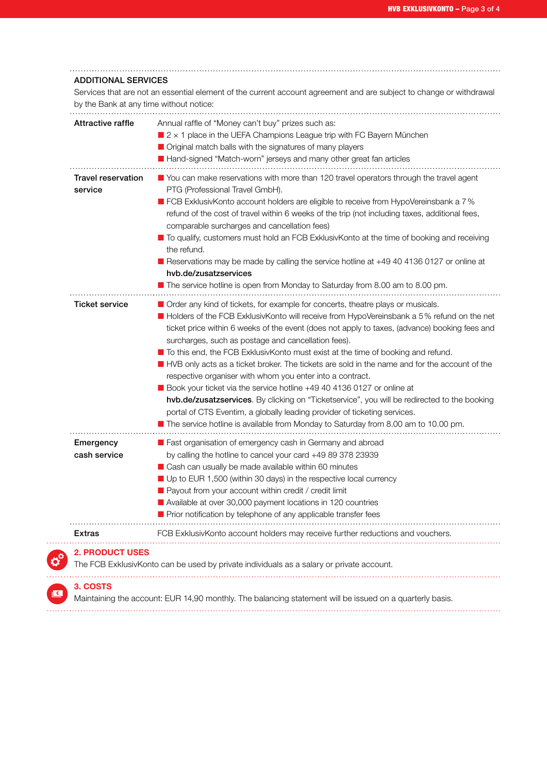|                                      | Annual raffle of "Money can't buy" prizes such as:<br>$\blacksquare$ 2 x 1 place in the UEFA Champions League trip with FC Bayern München<br>Original match balls with the signatures of many players<br>Hand-signed "Match-worn" jerseys and many other great fan articles                                                                                                                                                                                                                                                                                                                                                                                                                                                                                                                                                                                                                                                           |
|--------------------------------------|---------------------------------------------------------------------------------------------------------------------------------------------------------------------------------------------------------------------------------------------------------------------------------------------------------------------------------------------------------------------------------------------------------------------------------------------------------------------------------------------------------------------------------------------------------------------------------------------------------------------------------------------------------------------------------------------------------------------------------------------------------------------------------------------------------------------------------------------------------------------------------------------------------------------------------------|
| <b>Travel reservation</b><br>service | You can make reservations with more than 120 travel operators through the travel agent<br>PTG (Professional Travel GmbH).<br>■ FCB ExklusivKonto account holders are eligible to receive from HypoVereinsbank a 7%<br>refund of the cost of travel within 6 weeks of the trip (not including taxes, additional fees,<br>comparable surcharges and cancellation fees)<br>To qualify, customers must hold an FCB ExklusivKonto at the time of booking and receiving<br>the refund.<br>Reservations may be made by calling the service hotline at +49 40 4136 0127 or online at<br>hyb.de/zusatzservices<br>The service hotline is open from Monday to Saturday from 8.00 am to 8.00 pm.                                                                                                                                                                                                                                                 |
| <b>Ticket service</b>                | Order any kind of tickets, for example for concerts, theatre plays or musicals.<br>Holders of the FCB ExklusivKonto will receive from HypoVereinsbank a 5% refund on the net<br>ticket price within 6 weeks of the event (does not apply to taxes, (advance) booking fees and<br>surcharges, such as postage and cancellation fees).<br>■ To this end, the FCB ExklusivKonto must exist at the time of booking and refund.<br>HVB only acts as a ticket broker. The tickets are sold in the name and for the account of the<br>respective organiser with whom you enter into a contract.<br>Book your ticket via the service hotline +49 40 4136 0127 or online at<br>hvb.de/zusatzservices. By clicking on "Ticketservice", you will be redirected to the booking<br>portal of CTS Eventim, a globally leading provider of ticketing services.<br>The service hotline is available from Monday to Saturday from 8.00 am to 10.00 pm. |
| Emergency<br>cash service            | Fast organisation of emergency cash in Germany and abroad<br>by calling the hotline to cancel your card +49 89 378 23939<br>Cash can usually be made available within 60 minutes<br>Up to EUR 1,500 (within 30 days) in the respective local currency<br>Payout from your account within credit / credit limit<br>Available at over 30,000 payment locations in 120 countries<br>Prior notification by telephone of any applicable transfer fees                                                                                                                                                                                                                                                                                                                                                                                                                                                                                      |
| Extras                               | FCB ExklusivKonto account holders may receive further reductions and vouchers.                                                                                                                                                                                                                                                                                                                                                                                                                                                                                                                                                                                                                                                                                                                                                                                                                                                        |